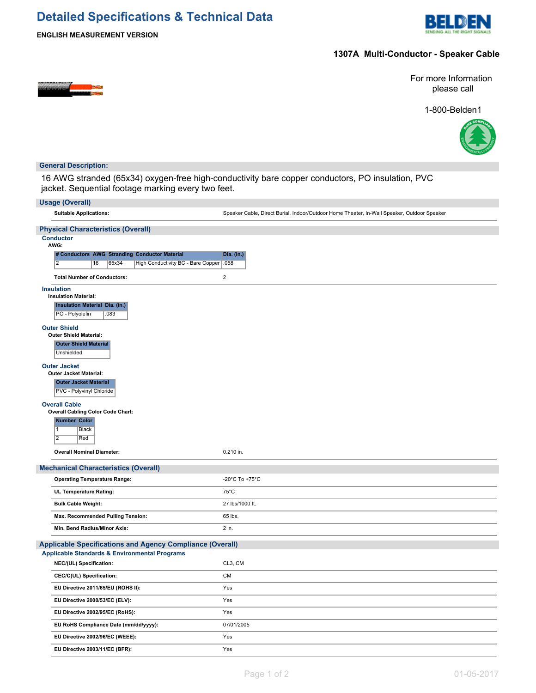# **Detailed Specifications & Technical Data**



**ENGLISH MEASUREMENT VERSION**

## **1307A Multi-Conductor - Speaker Cable**

<u> 1969 (1971)</u>

For more Information please call





## **General Description:**

16 AWG stranded (65x34) oxygen-free high-conductivity bare copper conductors, PO insulation, PVC jacket. Sequential footage marking every two feet.

| <b>Usage (Overall)</b>                                                     |                                                                                             |  |  |  |  |
|----------------------------------------------------------------------------|---------------------------------------------------------------------------------------------|--|--|--|--|
| <b>Suitable Applications:</b>                                              | Speaker Cable, Direct Burial, Indoor/Outdoor Home Theater, In-Wall Speaker, Outdoor Speaker |  |  |  |  |
| <b>Physical Characteristics (Overall)</b>                                  |                                                                                             |  |  |  |  |
| <b>Conductor</b><br>AWG:                                                   |                                                                                             |  |  |  |  |
| # Conductors AWG Stranding Conductor Material                              | Dia. (in.)                                                                                  |  |  |  |  |
| $\overline{2}$<br>16<br>65x34<br>High Conductivity BC - Bare Copper   .058 |                                                                                             |  |  |  |  |
| <b>Total Number of Conductors:</b>                                         | $\mathbf 2$                                                                                 |  |  |  |  |
| <b>Insulation</b><br><b>Insulation Material:</b>                           |                                                                                             |  |  |  |  |
| <b>Insulation Material Dia. (in.)</b>                                      |                                                                                             |  |  |  |  |
| PO - Polyolefin<br>.083                                                    |                                                                                             |  |  |  |  |
| <b>Outer Shield</b>                                                        |                                                                                             |  |  |  |  |
| <b>Outer Shield Material:</b>                                              |                                                                                             |  |  |  |  |
| <b>Outer Shield Material</b><br>Unshielded                                 |                                                                                             |  |  |  |  |
| <b>Outer Jacket</b>                                                        |                                                                                             |  |  |  |  |
| Outer Jacket Material:<br><b>Outer Jacket Material</b>                     |                                                                                             |  |  |  |  |
| PVC - Polyvinyl Chloride                                                   |                                                                                             |  |  |  |  |
| <b>Overall Cable</b>                                                       |                                                                                             |  |  |  |  |
| <b>Overall Cabling Color Code Chart:</b>                                   |                                                                                             |  |  |  |  |
| <b>Number Color</b><br>$\mathbf{1}$<br>Black                               |                                                                                             |  |  |  |  |
| $\overline{2}$<br>Red                                                      |                                                                                             |  |  |  |  |
| <b>Overall Nominal Diameter:</b>                                           | 0.210 in.                                                                                   |  |  |  |  |
| <b>Mechanical Characteristics (Overall)</b>                                |                                                                                             |  |  |  |  |
| <b>Operating Temperature Range:</b>                                        | -20°C To +75°C                                                                              |  |  |  |  |
| UL Temperature Rating:                                                     | $75^{\circ}$ C                                                                              |  |  |  |  |
| <b>Bulk Cable Weight:</b>                                                  | 27 lbs/1000 ft.                                                                             |  |  |  |  |
| Max. Recommended Pulling Tension:                                          | 65 lbs.                                                                                     |  |  |  |  |
| Min. Bend Radius/Minor Axis:                                               | $2$ in.                                                                                     |  |  |  |  |
| <b>Applicable Specifications and Agency Compliance (Overall)</b>           |                                                                                             |  |  |  |  |
| <b>Applicable Standards &amp; Environmental Programs</b>                   |                                                                                             |  |  |  |  |
| NEC/(UL) Specification:                                                    | CL3, CM                                                                                     |  |  |  |  |
| CEC/C(UL) Specification:                                                   | <b>CM</b>                                                                                   |  |  |  |  |
| EU Directive 2011/65/EU (ROHS II):                                         | Yes                                                                                         |  |  |  |  |
| EU Directive 2000/53/EC (ELV):                                             | Yes                                                                                         |  |  |  |  |
| EU Directive 2002/95/EC (RoHS):                                            | Yes                                                                                         |  |  |  |  |
| EU RoHS Compliance Date (mm/dd/yyyy):                                      | 07/01/2005                                                                                  |  |  |  |  |
| EU Directive 2002/96/EC (WEEE):                                            | Yes                                                                                         |  |  |  |  |
| EU Directive 2003/11/EC (BFR):                                             | Yes                                                                                         |  |  |  |  |